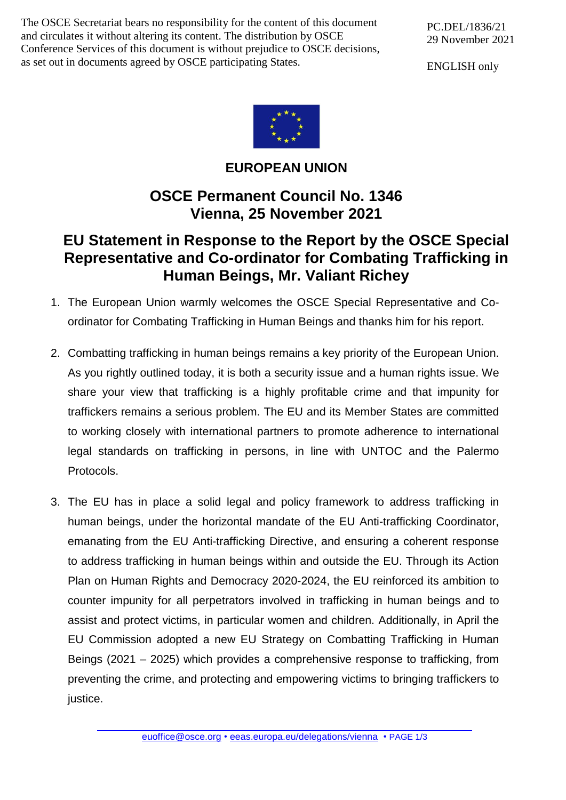The OSCE Secretariat bears no responsibility for the content of this document and circulates it without altering its content. The distribution by OSCE Conference Services of this document is without prejudice to OSCE decisions, as set out in documents agreed by OSCE participating States.

ENGLISH only



## **EUROPEAN UNION**

## **OSCE Permanent Council No. 1346 Vienna, 25 November 2021**

## **EU Statement in Response to the Report by the OSCE Special Representative and Co-ordinator for Combating Trafficking in Human Beings, Mr. Valiant Richey**

- 1. The European Union warmly welcomes the OSCE Special Representative and Coordinator for Combating Trafficking in Human Beings and thanks him for his report.
- 2. Combatting trafficking in human beings remains a key priority of the European Union. As you rightly outlined today, it is both a security issue and a human rights issue. We share your view that trafficking is a highly profitable crime and that impunity for traffickers remains a serious problem. The EU and its Member States are committed to working closely with international partners to promote adherence to international legal standards on trafficking in persons, in line with UNTOC and the Palermo Protocols.
- 3. The EU has in place a solid legal and policy framework to address trafficking in human beings, under the horizontal mandate of the EU Anti-trafficking Coordinator, emanating from the EU Anti-trafficking Directive, and ensuring a coherent response to address trafficking in human beings within and outside the EU. Through its Action Plan on Human Rights and Democracy 2020-2024, the EU reinforced its ambition to counter impunity for all perpetrators involved in trafficking in human beings and to assist and protect victims, in particular women and children. Additionally, in April the EU Commission adopted a new EU Strategy on Combatting Trafficking in Human Beings (2021 – 2025) which provides a comprehensive response to trafficking, from preventing the crime, and protecting and empowering victims to bringing traffickers to justice.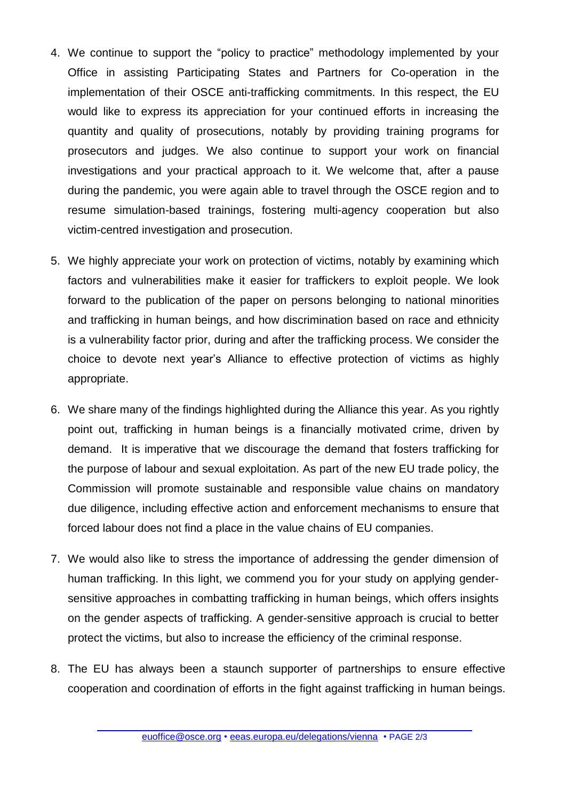- 4. We continue to support the "policy to practice" methodology implemented by your Office in assisting Participating States and Partners for Co-operation in the implementation of their OSCE anti-trafficking commitments. In this respect, the EU would like to express its appreciation for your continued efforts in increasing the quantity and quality of prosecutions, notably by providing training programs for prosecutors and judges. We also continue to support your work on financial investigations and your practical approach to it. We welcome that, after a pause during the pandemic, you were again able to travel through the OSCE region and to resume simulation-based trainings, fostering multi-agency cooperation but also victim-centred investigation and prosecution.
- 5. We highly appreciate your work on protection of victims, notably by examining which factors and vulnerabilities make it easier for traffickers to exploit people. We look forward to the publication of the paper on persons belonging to national minorities and trafficking in human beings, and how discrimination based on race and ethnicity is a vulnerability factor prior, during and after the trafficking process. We consider the choice to devote next year's Alliance to effective protection of victims as highly appropriate.
- 6. We share many of the findings highlighted during the Alliance this year. As you rightly point out, trafficking in human beings is a financially motivated crime, driven by demand. It is imperative that we discourage the demand that fosters trafficking for the purpose of labour and sexual exploitation. As part of the new EU trade policy, the Commission will promote sustainable and responsible value chains on mandatory due diligence, including effective action and enforcement mechanisms to ensure that forced labour does not find a place in the value chains of EU companies.
- 7. We would also like to stress the importance of addressing the gender dimension of human trafficking. In this light, we commend you for your study on applying gendersensitive approaches in combatting trafficking in human beings, which offers insights on the gender aspects of trafficking. A gender-sensitive approach is crucial to better protect the victims, but also to increase the efficiency of the criminal response.
- 8. The EU has always been a staunch supporter of partnerships to ensure effective cooperation and coordination of efforts in the fight against trafficking in human beings.

[euoffice@osce.org](mailto:euoffice@osce.org) • [eeas.europa.eu/delegations/vienna](http://eeas.europa.eu/delegations/vienna) • PAGE 2/3